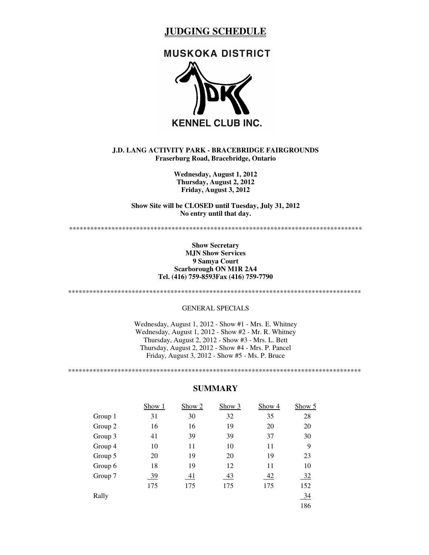# **JUDGING SCHEDULE**

# **MUSKOKA DISTRICT**



## **J.D. LANG ACTIVITY PARK - BRACEBRIDGE FAIRGROUNDS Fraserburg Road, Bracebridge, Ontario**

**Wednesday, August 1, 2012 Thursday, August 2, 2012 Friday, August 3, 2012**

**Show Site will be CLOSED until Tuesday, July 31, 2012 No entry until that day.**

\*\*\*\*\*\*\*\*\*\*\*\*\*\*\*\*\*\*\*\*\*\*\*\*\*\*\*\*\*\*\*\*\*\*\*\*\*\*\*\*\*\*\*\*\*\*\*\*\*\*\*\*\*\*\*\*\*\*\*\*\*\*\*\*\*\*\*\*\*\*\*\*\*\*\*\*\*\*\*\*\*\*\*

#### **Show Secretary MJN Show Services 9 Samya Court Scarborough ON M1R 2A4 Tel. (416) 759-8593Fax (416) 759-7790**

\*\*\*\*\*\*\*\*\*\*\*\*\*\*\*\*\*\*\*\*\*\*\*\*\*\*\*\*\*\*\*\*\*\*\*\*\*\*\*\*\*\*\*\*\*\*\*\*\*\*\*\*\*\*\*\*\*\*\*\*\*\*\*\*\*\*\*\*\*\*\*\*\*\*\*\*\*\*\*\*\*\*\*

## GENERAL SPECIALS

Wednesday, August 1, 2012 - Show #1 - Mrs. E. Whitney Wednesday, August 1, 2012 - Show #2 - Mr. R. Whitney Thursday, August 2, 2012 - Show #3 - Mrs. L. Bett Thursday, August 2, 2012 - Show #4 - Mrs. P. Pancel Friday, August 3, 2012 - Show #5 - Ms. P. Bruce

\*\*\*\*\*\*\*\*\*\*\*\*\*\*\*\*\*\*\*\*\*\*\*\*\*\*\*\*\*\*\*\*\*\*\*\*\*\*\*\*\*\*\*\*\*\*\*\*\*\*\*\*\*\*\*\*\*\*\*\*\*\*\*\*\*\*\*\*\*\*\*\*\*\*\*\*\*\*\*\*\*\*\*

|         | Show 1 | Show 2 | Show 3    | Show 4 | Show 5         |
|---------|--------|--------|-----------|--------|----------------|
| Group 1 | 31     | 30     | 32        | 35     | 28             |
| Group 2 | 16     | 16     | 19        | 20     | 20             |
| Group 3 | 41     | 39     | 39        | 37     | 30             |
| Group 4 | 10     | 11     | 10        | 11     | 9              |
| Group 5 | 20     | 19     | 20        | 19     | 23             |
| Group 6 | 18     | 19     | 12        | 11     | 10             |
| Group 7 | 39     | 41     | <u>43</u> | 42     | 32             |
|         | 175    | 175    | 175       | 175    | 152            |
| Rally   |        |        |           |        | $\frac{34}{2}$ |
|         |        |        |           |        | 186            |

#### **SUMMARY**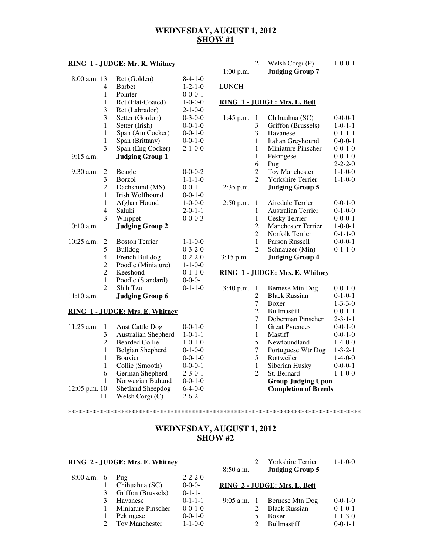# **WEDNESDAY, AUGUST 1, 2012 SHOW #1**

## **RING 1 - JUDGE: Mr. R. Whitney**

| $8:00$ a.m. 13 |                         | Ret (Golden)           | $8-4-1-0$       |
|----------------|-------------------------|------------------------|-----------------|
|                | 4                       | <b>Barbet</b>          | $1 - 2 - 1 - 0$ |
|                | 1                       | Pointer                | $0-0-0-1$       |
|                | 1                       | Ret (Flat-Coated)      | $1 - 0 - 0 - 0$ |
|                | 3                       | Ret (Labrador)         | $2 - 1 - 0 - 0$ |
|                | 3                       | Setter (Gordon)        | $0 - 3 - 0 - 0$ |
|                | 1                       | Setter (Irish)         | $0 - 0 - 1 - 0$ |
|                | 1                       | Span (Am Cocker)       | $0 - 0 - 1 - 0$ |
|                | 1                       | Span (Brittany)        | $0 - 0 - 1 - 0$ |
|                | 3                       | Span (Eng Cocker)      | $2 - 1 - 0 - 0$ |
| $9:15$ a.m.    |                         | <b>Judging Group 1</b> |                 |
|                |                         |                        |                 |
| $9:30$ a.m.    | $\overline{\mathbf{c}}$ | Beagle                 | $0 - 0 - 0 - 2$ |
|                | 3                       | <b>Borzoi</b>          | $1 - 1 - 1 - 0$ |
|                | $\overline{c}$          | Dachshund (MS)         | $0 - 0 - 1 - 1$ |
|                | $\mathbf{1}$            | Irish Wolfhound        | $0 - 0 - 1 - 0$ |
|                | 1                       | Afghan Hound           | $1 - 0 - 0 - 0$ |
|                | 4                       | Saluki                 | $2 - 0 - 1 - 1$ |
|                | 3                       | Whippet                | $0 - 0 - 0 - 3$ |
| $10:10$ a.m.   |                         | <b>Judging Group 2</b> |                 |
| $10:25$ a.m.   | 2                       | <b>Boston Terrier</b>  | $1 - 1 - 0 - 0$ |
|                | 5                       | <b>Bulldog</b>         | $0 - 3 - 2 - 0$ |
|                | $\overline{4}$          | French Bulldog         | $0 - 2 - 2 - 0$ |
|                | $\overline{c}$          | Poodle (Miniature)     | $1 - 1 - 0 - 0$ |
|                | $\overline{c}$          | Keeshond               | $0-1-1-0$       |
|                | $\mathbf{1}$            | Poodle (Standard)      | $0 - 0 - 0 - 1$ |
|                | $\overline{c}$          | Shih Tzu               | $0 - 1 - 1 - 0$ |
| $11:10$ a.m.   |                         | <b>Judging Group 6</b> |                 |
|                |                         |                        |                 |

#### **RING 1 - JUDGE: Mrs. E. Whitney**

| $11:25$ a.m.  | <b>Aust Cattle Dog</b>     | $0-0-1-0$       |
|---------------|----------------------------|-----------------|
| 3             | <b>Australian Shepherd</b> | $1 - 0 - 1 - 1$ |
| 2             | <b>Bearded Collie</b>      | $1 - 0 - 1 - 0$ |
| 1             | Belgian Shepherd           | $0-1-0-0$       |
| 1             | Bouvier                    | $0-0-1-0$       |
| 1             | Collie (Smooth)            | $0-0-0-1$       |
| 6             | German Shepherd            | $2 - 3 - 0 - 1$ |
| 1             | Norwegian Buhund           | $0-0-1-0$       |
| 12:05 p.m. 10 | <b>Shetland Sheepdog</b>   | $6-4-0-0$       |
|               | Welsh Corgi (C)            | $2 - 6 - 2 - 1$ |
|               |                            |                 |

|             | Welsh Corgi (P)        | $1 - 0 - 0 - 1$ |
|-------------|------------------------|-----------------|
| $1:00$ p.m. | <b>Judging Group 7</b> |                 |

#### LUNCH

## **RING 1 - JUDGE: Mrs. L. Bett**

| 1:45 p.m.   | 1 | Chihuahua (SC)            | $0 - 0 - 0 - 1$ |
|-------------|---|---------------------------|-----------------|
|             | 3 | Griffon (Brussels)        | $1 - 0 - 1 - 1$ |
|             | 3 | Havanese                  | $0 - 1 - 1 - 1$ |
|             | 1 | Italian Greyhound         | $0 - 0 - 0 - 1$ |
|             | 1 | <b>Miniature Pinscher</b> | $0 - 0 - 1 - 0$ |
|             | 1 | Pekingese                 | $0 - 0 - 1 - 0$ |
|             | 6 | Pug                       | $2 - 2 - 2 - 0$ |
|             | 2 | <b>Toy Manchester</b>     | $1 - 1 - 0 - 0$ |
|             | 2 | Yorkshire Terrier         | $1 - 1 - 0 - 0$ |
| $2:35$ p.m. |   | <b>Judging Group 5</b>    |                 |
| $2:50$ p.m. | 1 | Airedale Terrier          | $0 - 0 - 1 - 0$ |
|             | 1 | Australian Terrier        | $0-1-0-0$       |
|             | 1 | Cesky Terrier             | $0-0-0-1$       |
|             | 2 | <b>Manchester Terrier</b> | $1 - 0 - 0 - 1$ |
|             | 2 | Norfolk Terrier           | $0-1-1-0$       |
|             | 1 | Parson Russell            | $0 - 0 - 0 - 1$ |
|             | 2 | Schnauzer (Min)           | $0-1-1-0$       |
| $3:15$ p.m. |   | <b>Judging Group 4</b>    |                 |

#### **RING 1 - JUDGE: Mrs. E. Whitney**

| 3:40 p.m. |   | Bernese Mtn Dog             | $0-0-1-0$       |
|-----------|---|-----------------------------|-----------------|
|           | 2 | <b>Black Russian</b>        | $0-1-0-1$       |
|           | 7 | Boxer                       | $1 - 3 - 3 - 0$ |
|           | 2 | <b>Bullmastiff</b>          | $0-0-1-1$       |
|           | 7 | Doberman Pinscher           | $2 - 3 - 1 - 1$ |
|           | 1 | <b>Great Pyrenees</b>       | $0-0-1-0$       |
|           | 1 | Mastiff                     | $0-0-1-0$       |
|           | 5 | Newfoundland                | $1 - 4 - 0 - 0$ |
|           | 7 | Portuguese Wtr Dog          | $1 - 3 - 2 - 1$ |
|           | 5 | Rottweiler                  | $1-4-0-0$       |
|           | 1 | Siberian Husky              | $0-0-0-1$       |
|           | 2 | St. Bernard                 | $1 - 1 - 0 - 0$ |
|           |   | <b>Group Judging Upon</b>   |                 |
|           |   | <b>Completion of Breeds</b> |                 |

# **WEDNESDAY, AUGUST 1, 2012 SHOW #2**

\*\*\*\*\*\*\*\*\*\*\*\*\*\*\*\*\*\*\*\*\*\*\*\*\*\*\*\*\*\*\*\*\*\*\*\*\*\*\*\*\*\*\*\*\*\*\*\*\*\*\*\*\*\*\*\*\*\*\*\*\*\*\*\*\*\*\*\*\*\*\*\*\*\*\*\*\*\*\*\*\*\*\*

#### **RING 2 - JUDGE: Mrs. E. Whitney**

| $8:00$ a.m. 6 |   | Pug                       | $2 - 2 - 2 - 0$ |
|---------------|---|---------------------------|-----------------|
|               |   | Chihuahua (SC)            | $0-0-0-1$       |
|               | 3 | Griffon (Brussels)        | $0 - 1 - 1 - 1$ |
|               | 3 | Havanese                  | $0 - 1 - 1 - 1$ |
|               |   | <b>Miniature Pinscher</b> | $0-0-1-0$       |
|               | 1 | Pekingese                 | $0-0-1-0$       |
|               | 2 | Toy Manchester            | $1 - 1 - 0 - 0$ |
|               |   |                           |                 |

|             | <b>Yorkshire Terrier</b> | $1 - 1 - 0 - 0$ |
|-------------|--------------------------|-----------------|
| $8:50$ a.m. | <b>Judging Group 5</b>   |                 |

# **RING 2 - JUDGE: Mrs. L. Bett**

| $9:05$ a.m. | 1 Bernese Mtn Dog | $0-0-1-0$       |
|-------------|-------------------|-----------------|
|             | 2 Black Russian   | $0-1-0-1$       |
|             | 5 Boxer           | $1 - 1 - 3 - 0$ |
|             | 2 Bullmastiff     | $0-0-1-1$       |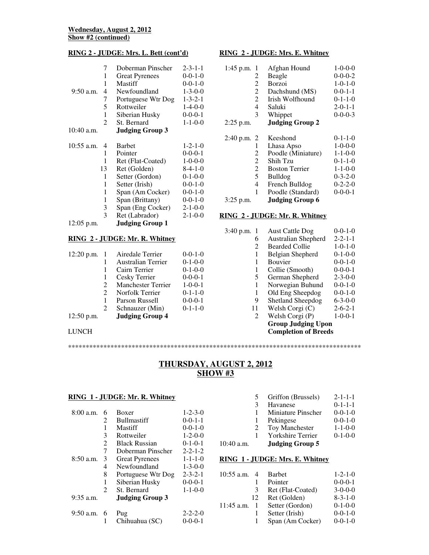### **RING 2 - JUDGE: Mrs. L. Bett (cont'd)**

|              | 7  | Doberman Pinscher      | $2 - 3 - 1 - 1$ |
|--------------|----|------------------------|-----------------|
|              | 1  | <b>Great Pyrenees</b>  | $0 - 0 - 1 - 0$ |
|              | 1  | Mastiff                | $0 - 0 - 1 - 0$ |
| 9:50 a.m.    | 4  | Newfoundland           | $1 - 3 - 0 - 0$ |
|              | 7  | Portuguese Wtr Dog     | $1 - 3 - 2 - 1$ |
|              | 5  | Rottweiler             | $1-4-0-0$       |
|              | 1  | Siberian Husky         | $0-0-0-1$       |
|              | 2  | St. Bernard            | $1 - 1 - 0 - 0$ |
| $10:40$ a.m. |    | <b>Judging Group 3</b> |                 |
| $10:55$ a.m. | 4  | <b>Barbet</b>          | $1 - 2 - 1 - 0$ |
|              | 1  | Pointer                | $0-0-0-1$       |
|              | 1  | Ret (Flat-Coated)      | $1 - 0 - 0 - 0$ |
|              | 13 | Ret (Golden)           | $8-4-1-0$       |
|              | 1  | Setter (Gordon)        | $0-1-0-0$       |
|              | 1  | Setter (Irish)         | $0-0-1-0$       |
|              | 1  | Span (Am Cocker)       | $0 - 0 - 1 - 0$ |
|              | 1  | Span (Brittany)        | $0-0-1-0$       |
|              | 3  | Span (Eng Cocker)      | $2 - 1 - 0 - 0$ |
|              | 3  | Ret (Labrador)         | $2 - 1 - 0 - 0$ |
| 12:05 p.m.   |    | <b>Judging Group 1</b> |                 |

#### **RING 2 - JUDGE: Mr. R. Whitney**

|                | Airedale Terrier          | $0-0-1-0$              |
|----------------|---------------------------|------------------------|
|                | <b>Australian Terrier</b> | $0-1-0-0$              |
|                | Cairn Terrier             | $0-1-0-0$              |
|                | Cesky Terrier             | $0-0-0-1$              |
| 2              | <b>Manchester Terrier</b> | $1 - 0 - 0 - 1$        |
| $\mathfrak{D}$ | Norfolk Terrier           | $0-1-1-0$              |
| 1              | Parson Russell            | $0-0-0-1$              |
| 2              | Schnauzer (Min)           | $0-1-1-0$              |
|                |                           |                        |
|                |                           | <b>Judging Group 4</b> |

LUNCH

# $1.45$  p.m. 1  $\Lambda$  film Hound 1.0.0.0

**RING 2 - JUDGE: Mrs. E. Whitney**

| $1:45$ p.m.<br>1 | Afghan Hound           | $1 - 0 - 0 - 0$ |
|------------------|------------------------|-----------------|
| 2                | Beagle                 | $0 - 0 - 0 - 2$ |
| 2                | <b>Borzoi</b>          | $1 - 0 - 1 - 0$ |
| 2                | Dachshund (MS)         | $0-0-1-1$       |
| $\overline{2}$   | Irish Wolfhound        | $0-1-1-0$       |
| 4                | Saluki                 | $2 - 0 - 1 - 1$ |
| 3                | Whippet                | $0 - 0 - 0 - 3$ |
| 2:25 p.m.        | <b>Judging Group 2</b> |                 |
| 2:40 p.m. 2      | Keeshond               | $0 - 1 - 1 - 0$ |
| 1                | Lhasa Apso             | $1 - 0 - 0 - 0$ |
| 2                | Poodle (Miniature)     | $1 - 1 - 0 - 0$ |
| 2                | Shih Tzu               | $0-1-1-0$       |
| $\overline{c}$   | <b>Boston Terrier</b>  | $1 - 1 - 0 - 0$ |
| 5                | <b>Bulldog</b>         | $0 - 3 - 2 - 0$ |
| 4                | French Bulldog         | $0 - 2 - 2 - 0$ |
| 1                | Poodle (Standard)      | $0-0-0-1$       |
| $3:25$ p.m.      | <b>Judging Group 6</b> |                 |

## **RING 2 - JUDGE: Mr. R. Whitney**

| 3:40 p.m. | <b>Aust Cattle Dog</b>      | $0 - 0 - 1 - 0$ |
|-----------|-----------------------------|-----------------|
| 6         | Australian Shepherd         | $2 - 2 - 1 - 1$ |
| 2         | <b>Bearded Collie</b>       | $1 - 0 - 1 - 0$ |
| 1         | Belgian Shepherd            | $0-1-0-0$       |
| 1         | <b>Bouvier</b>              | $0-0-1-0$       |
| 1         | Collie (Smooth)             | $0-0-0-1$       |
| 5         | German Shepherd             | $2 - 3 - 0 - 0$ |
| 1         | Norwegian Buhund            | $0 - 0 - 1 - 0$ |
| 1         | Old Eng Sheepdog            | $0-0-1-0$       |
| 9         | Shetland Sheepdog           | $6 - 3 - 0 - 0$ |
| 11        | Welsh Corgi (C)             | $2 - 6 - 2 - 1$ |
| 2         | Welsh Corgi (P)             | $1 - 0 - 0 - 1$ |
|           | <b>Group Judging Upon</b>   |                 |
|           | <b>Completion of Breeds</b> |                 |

# **THURSDAY, AUGUST 2, 2012 SHOW #3**

\*\*\*\*\*\*\*\*\*\*\*\*\*\*\*\*\*\*\*\*\*\*\*\*\*\*\*\*\*\*\*\*\*\*\*\*\*\*\*\*\*\*\*\*\*\*\*\*\*\*\*\*\*\*\*\*\*\*\*\*\*\*\*\*\*\*\*\*\*\*\*\*\*\*\*\*\*\*\*\*\*\*\*

#### **RING 1 - JUDGE: Mr. R. Whitney**

| $8:00$ a.m. | 6 | <b>Boxer</b>                          | $1 - 2 - 3 - 0$ |
|-------------|---|---------------------------------------|-----------------|
|             | 2 | <b>Bullmastiff</b>                    | $0-0-1-1$       |
|             | 1 | Mastiff                               | $0-0-1-0$       |
|             | 3 | Rottweiler                            | $1 - 2 - 0 - 0$ |
|             | 2 | <b>Black Russian</b>                  | $0-1-0-1$       |
| $8:50$ a.m. | 7 | Doberman Pinscher                     | $2 - 2 - 1 - 2$ |
|             | 3 | <b>Great Pyrenees</b>                 | $1 - 1 - 1 - 0$ |
|             | 4 | Newfoundland                          | $1 - 3 - 0 - 0$ |
|             | 8 | Portuguese Wtr Dog                    | $2 - 3 - 2 - 1$ |
|             | 1 | Siberian Husky                        | $0-0-0-1$       |
| $9:35$ a.m. | 2 | St. Bernard<br><b>Judging Group 3</b> | $1 - 1 - 0 - 0$ |
| $9:50$ a.m. | 6 | Pug                                   | $2 - 2 - 2 - 0$ |
|             | 1 | Chihuahua (SC)                        | $0-0-0-1$       |

|            | 5 | Griffon (Brussels)       | $2 - 1 - 1 - 1$ |
|------------|---|--------------------------|-----------------|
|            | 3 | Havanese                 | $0 - 1 - 1 - 1$ |
|            |   | Miniature Pinscher       | $0-0-1-0$       |
|            |   | Pekingese                | $0-0-1-0$       |
|            | 2 | Toy Manchester           | $1 - 1 - 0 - 0$ |
|            |   | <b>Yorkshire Terrier</b> | $0-1-0-0$       |
| 10:40 a.m. |   | <b>Judging Group 5</b>   |                 |

# **RING 1 - JUDGE: Mrs. E. Whitney**

| $10:55$ a.m. |    | <b>Barbet</b>     | $1 - 2 - 1 - 0$ |
|--------------|----|-------------------|-----------------|
|              |    | Pointer           | $0-0-0-1$       |
|              | 3  | Ret (Flat-Coated) | $3-0-0-0$       |
|              | 12 | Ret (Golden)      | $8 - 3 - 1 - 0$ |
| $11:45$ a.m. |    | Setter (Gordon)   | $0-1-0-0$       |
|              |    | Setter (Irish)    | $0-0-1-0$       |
|              | 1  | Span (Am Cocker)  | $0-0-1-0$       |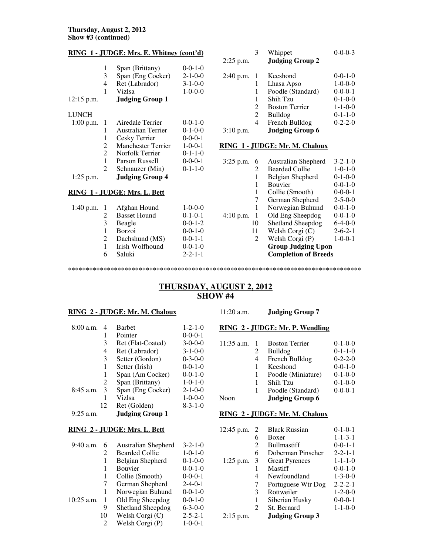#### **Thursday, August 2, 2012 Show #3 (continued)**

## **RING 1 - JUDGE: Mrs. E. Whitney (cont'd)**

| $12:15$ p.m. | 1<br>3<br>4<br>1 | Span (Brittany)<br>Span (Eng Cocker)<br>Ret (Labrador)<br>Vizlsa<br><b>Judging Group 1</b> | $0-0-1-0$<br>$2 - 1 - 0 - 0$<br>$3 - 1 - 0 - 0$<br>$1 - 0 - 0 - 0$ |
|--------------|------------------|--------------------------------------------------------------------------------------------|--------------------------------------------------------------------|
|              |                  |                                                                                            |                                                                    |
| LUNCH        |                  |                                                                                            |                                                                    |
| $1:00$ p.m.  | 1                | Airedale Terrier                                                                           | $0-0-1-0$                                                          |
|              | 1                | Australian Terrier                                                                         | $0-1-0-0$                                                          |
|              | 1                | Cesky Terrier                                                                              | $0-0-0-1$                                                          |
|              | 2                | <b>Manchester Terrier</b>                                                                  | $1 - 0 - 0 - 1$                                                    |
|              | 2                | Norfolk Terrier                                                                            | $0 - 1 - 1 - 0$                                                    |
|              | 1                | Parson Russell                                                                             | $0-0-0-1$                                                          |
|              | $\mathfrak{D}$   | Schnauzer (Min)                                                                            | $0-1-1-0$                                                          |
| $1:25$ p.m.  |                  | <b>Judging Group 4</b>                                                                     |                                                                    |

## **RING 1 - JUDGE: Mrs. L. Bett**

|               |                     | $1 - 0 - 0 - 0$          |
|---------------|---------------------|--------------------------|
| $\mathcal{L}$ | <b>Basset Hound</b> | $0-1-0-1$                |
| 3             | Beagle              | $0-0-1-2$                |
|               | <b>Borzoi</b>       | $0-0-1-0$                |
| 2             | Dachshund (MS)      | $0-0-1-1$                |
|               | Irish Wolfhound     | $0-0-1-0$                |
| 6             | Saluki              | $2 - 2 - 1 - 1$          |
|               |                     | 1:40 p.m. 1 Afghan Hound |

| $2:25$ p.m. |                            | Whippet<br><b>Judging Group 2</b>                                                                                    | $0 - 0 - 0 - 3$                                                                                                 |
|-------------|----------------------------|----------------------------------------------------------------------------------------------------------------------|-----------------------------------------------------------------------------------------------------------------|
| $2:40$ p.m. | 1<br>1<br>1<br>2<br>2<br>4 | Keeshond<br>Lhasa Apso<br>Poodle (Standard)<br>Shih Tzu<br><b>Boston Terrier</b><br><b>Bulldog</b><br>French Bulldog | $0-0-1-0$<br>$1 - 0 - 0 - 0$<br>$0 - 0 - 0 - 1$<br>$0-1-0-0$<br>$1 - 1 - 0 - 0$<br>$0-1-1-0$<br>$0 - 2 - 2 - 0$ |
| $3:10$ p.m. |                            | <b>Judging Group 6</b>                                                                                               |                                                                                                                 |

#### **RING 1 - JUDGE: Mr. M. Chaloux**

| 3:25 p.m.<br>6   | <b>Australian Shepherd</b>  | $3 - 2 - 1 - 0$ |
|------------------|-----------------------------|-----------------|
| 2                | <b>Bearded Collie</b>       | $1 - 0 - 1 - 0$ |
| 1                | Belgian Shepherd            | $0-1-0-0$       |
| 1                | <b>Bouvier</b>              | $0 - 0 - 1 - 0$ |
| 1                | Collie (Smooth)             | $0-0-0-1$       |
| 7                | German Shepherd             | $2 - 5 - 0 - 0$ |
| 1                | Norwegian Buhund            | $0 - 0 - 1 - 0$ |
| $4:10$ p.m.<br>1 | Old Eng Sheepdog            | $0 - 0 - 1 - 0$ |
| 10               | <b>Shetland Sheepdog</b>    | $6-4-0-0$       |
| 11               | Welsh Corgi (C)             | $2 - 6 - 2 - 1$ |
| 2                | Welsh Corgi (P)             | $1 - 0 - 0 - 1$ |
|                  | <b>Group Judging Upon</b>   |                 |
|                  | <b>Completion of Breeds</b> |                 |

# \*\*\*\*\*\*\*\*\*\*\*\*\*\*\*\*\*\*\*\*\*\*\*\*\*\*\*\*\*\*\*\*\*\*\*\*\*\*\*\*\*\*\*\*\*\*\*\*\*\*\*\*\*\*\*\*\*\*\*\*\*\*\*\*\*\*\*\*\*\*\*\*\*\*\*\*\*\*\*\*\*\*\*

# **THURSDAY, AUGUST 2, 2012 SHOW #4**

# **RING 2 - JUDGE: Mr. M. Chaloux**

| $8:00$ a.m. | 4  | <b>Barbet</b>          | $1 - 2 - 1 - 0$ |
|-------------|----|------------------------|-----------------|
|             | 1  | Pointer                | $0-0-0-1$       |
|             | 3  | Ret (Flat-Coated)      | $3-0-0-0$       |
|             | 4  | Ret (Labrador)         | $3 - 1 - 0 - 0$ |
|             | 3  | Setter (Gordon)        | $0 - 3 - 0 - 0$ |
|             | 1  | Setter (Irish)         | $0-0-1-0$       |
|             | 1  | Span (Am Cocker)       | $0-0-1-0$       |
|             | 2  | Span (Brittany)        | $1 - 0 - 1 - 0$ |
| $8:45$ a.m. | 3  | Span (Eng Cocker)      | $2 - 1 - 0 - 0$ |
|             | 1  | Vizlsa                 | $1 - 0 - 0 - 0$ |
|             | 12 | Ret (Golden)           | $8 - 3 - 1 - 0$ |
| $9:25$ a.m. |    | <b>Judging Group 1</b> |                 |

# **RING 2 - JUDGE: Mrs. L. Bett**

| 9:40 a.m.    | 6  | Australian Shepherd      | $3 - 2 - 1 - 0$ |
|--------------|----|--------------------------|-----------------|
|              | 2  | <b>Bearded Collie</b>    | $1 - 0 - 1 - 0$ |
|              | 1  | Belgian Shepherd         | $0-1-0-0$       |
|              | 1  | <b>Bouvier</b>           | $0-0-1-0$       |
|              | 1  | Collie (Smooth)          | $0-0-0-1$       |
|              | 7  | German Shepherd          | $2 - 4 - 0 - 1$ |
|              | 1  | Norwegian Buhund         | $0-0-1-0$       |
| $10:25$ a.m. | 1  | Old Eng Sheepdog         | $0-0-1-0$       |
|              | 9  | <b>Shetland Sheepdog</b> | $6 - 3 - 0 - 0$ |
|              | 10 | Welsh Corgi (C)          | $2 - 5 - 2 - 1$ |
|              | 2  | Welsh Corgi (P)          | $1 - 0 - 0 - 1$ |

## 11:20 a.m. **Judging Group 7**

#### **RING 2 - JUDGE: Mr. P. Wendling**

| 11:35 a.m. |   | <b>Boston Terrier</b>  | $0-1-0-0$       |
|------------|---|------------------------|-----------------|
|            |   | Bulldog                | $0-1-1-0$       |
|            | 4 | French Bulldog         | $0 - 2 - 2 - 0$ |
|            |   | Keeshond               | $0-0-1-0$       |
|            |   | Poodle (Miniature)     | $0-1-0-0$       |
|            |   | Shih Tzu               | $0-1-0-0$       |
|            | ı | Poodle (Standard)      | $0-0-0-1$       |
| Noon       |   | <b>Judging Group 6</b> |                 |

#### **RING 2 - JUDGE: Mr. M. Chaloux**

| $12:45$ p.m. | $\overline{2}$ | <b>Black Russian</b>   | $0-1-0-1$       |
|--------------|----------------|------------------------|-----------------|
|              | 6              | <b>Boxer</b>           | $1 - 1 - 3 - 1$ |
|              | 2              | <b>Bullmastiff</b>     | $0-0-1-1$       |
|              | 6              | Doberman Pinscher      | $2 - 2 - 1 - 1$ |
| $1:25$ p.m.  | 3              | <b>Great Pyrenees</b>  | $1 - 1 - 1 - 0$ |
|              | 1              | Mastiff                | $0-0-1-0$       |
|              | 4              | Newfoundland           | $1 - 3 - 0 - 0$ |
|              | 7              | Portuguese Wtr Dog     | $2 - 2 - 2 - 1$ |
|              | 3              | Rottweiler             | $1 - 2 - 0 - 0$ |
|              | 1              | Siberian Husky         | $0-0-0-1$       |
|              | 2              | St. Bernard            | $1 - 1 - 0 - 0$ |
| $2:15$ p.m.  |                | <b>Judging Group 3</b> |                 |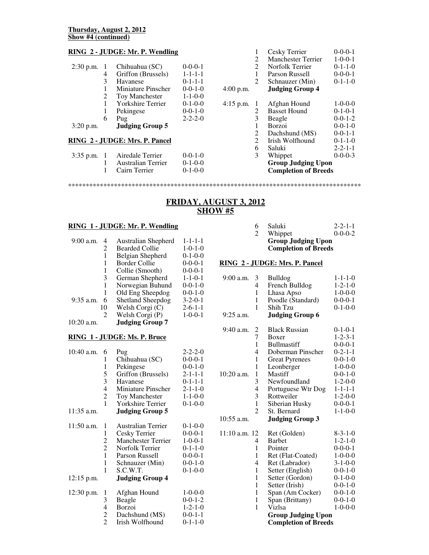## **RING 2 - JUDGE: Mr. P. Wendling**

| $2:30$ p.m.                    |   | Chihuahua (SC)           | $0-0-0-1$       |
|--------------------------------|---|--------------------------|-----------------|
|                                | 4 | Griffon (Brussels)       | $1 - 1 - 1 - 1$ |
|                                | 3 | Havanese                 | $0 - 1 - 1 - 1$ |
|                                | 1 | Miniature Pinscher       | $0-0-1-0$       |
|                                | 2 | <b>Toy Manchester</b>    | $1 - 1 - 0 - 0$ |
|                                | 1 | <b>Yorkshire Terrier</b> | $0-1-0-0$       |
|                                | 1 | Pekingese                | $0-0-1-0$       |
|                                | 6 | Pug                      | $2 - 2 - 2 - 0$ |
| $3:20$ p.m.                    |   | <b>Judging Group 5</b>   |                 |
| RING 2 - JUDGE: Mrs. P. Pancel |   |                          |                 |

|  | 3:35 p.m. 1 Airedale Terrier | $0-0-1-0$ |
|--|------------------------------|-----------|
|  | Australian Terrier           | $0-1-0-0$ |
|  | Cairn Terrier                | $0-1-0-0$ |

| 4:00 p.m.   | 1<br>2<br>2<br>1<br>2                | Cesky Terrier<br><b>Manchester Terrier</b><br>Norfolk Terrier<br>Parson Russell<br>Schnauzer (Min)<br><b>Judging Group 4</b>                                                         | $0-0-0-1$<br>$1 - 0 - 0 - 1$<br>$0 - 1 - 1 - 0$<br>$0-0-0-1$<br>$0 - 1 - 1 - 0$                                              |
|-------------|--------------------------------------|--------------------------------------------------------------------------------------------------------------------------------------------------------------------------------------|------------------------------------------------------------------------------------------------------------------------------|
| $4:15$ p.m. | 1<br>2<br>3<br>1<br>2<br>2<br>6<br>3 | Afghan Hound<br><b>Basset Hound</b><br>Beagle<br><b>Borzoi</b><br>Dachshund (MS)<br>Irish Wolfhound<br>Saluki<br>Whippet<br><b>Group Judging Upon</b><br><b>Completion of Breeds</b> | $1 - 0 - 0 - 0$<br>$0-1-0-1$<br>$0-0-1-2$<br>$0-0-1-0$<br>$0 - 0 - 1 - 1$<br>$0-1-1-0$<br>$2 - 2 - 1 - 1$<br>$0 - 0 - 0 - 3$ |

# **FRIDAY, AUGUST 3, 2012 SHOW #5**

\*\*\*\*\*\*\*\*\*\*\*\*\*\*\*\*\*\*\*\*\*\*\*\*\*\*\*\*\*\*\*\*\*\*\*\*\*\*\*\*\*\*\*\*\*\*\*\*\*\*\*\*\*\*\*\*\*\*\*\*\*\*\*\*\*\*\*\*\*\*\*\*\*\*\*\*\*\*\*\*\*\*\*

#### **RING 1 - JUDGE: Mr. P. Wendling**

| $9:00$ a.m.  | 4  | Australian Shepherd      | $1 - 1 - 1 - 1$ |
|--------------|----|--------------------------|-----------------|
|              | 2  | <b>Bearded Collie</b>    | $1 - 0 - 1 - 0$ |
|              | 1  | Belgian Shepherd         | $0-1-0-0$       |
|              | 1  | Border Collie            | $0-0-0-1$       |
|              | 1  | Collie (Smooth)          | $0-0-0-1$       |
|              | 3  | German Shepherd          | $1 - 1 - 0 - 1$ |
|              | 1  | Norwegian Buhund         | $0-0-1-0$       |
|              | 1  | Old Eng Sheepdog         | $0-0-1-0$       |
| $9:35$ a.m.  | 6  | <b>Shetland Sheepdog</b> | $3 - 2 - 0 - 1$ |
|              | 10 | Welsh Corgi (C)          | $2 - 6 - 1 - 1$ |
|              | 2  | Welsh Corgi (P)          | $1 - 0 - 0 - 1$ |
| $10:20$ a.m. |    | <b>Judging Group 7</b>   |                 |

#### **RING 1 - JUDGE: Ms. P. Bruce**

| 10:40 a.m.                 | 6                                                       | Pug                                                                                                                                                            | $2 - 2 - 2 - 0$                                                                                                 |
|----------------------------|---------------------------------------------------------|----------------------------------------------------------------------------------------------------------------------------------------------------------------|-----------------------------------------------------------------------------------------------------------------|
|                            | 1                                                       | Chihuahua (SC)                                                                                                                                                 | $0 - 0 - 0 - 1$                                                                                                 |
|                            | 1                                                       | Pekingese                                                                                                                                                      | $0-0-1-0$                                                                                                       |
|                            | 5                                                       | Griffon (Brussels)                                                                                                                                             | $2 - 1 - 1 - 1$                                                                                                 |
|                            | 3                                                       | Havanese                                                                                                                                                       | $0-1-1-1$                                                                                                       |
|                            | $\overline{4}$                                          | <b>Miniature Pinscher</b>                                                                                                                                      | $2 - 1 - 1 - 0$                                                                                                 |
|                            | $\overline{c}$                                          | <b>Toy Manchester</b>                                                                                                                                          | $1 - 1 - 0 - 0$                                                                                                 |
|                            | 1                                                       | <b>Yorkshire Terrier</b>                                                                                                                                       | $0-1-0-0$                                                                                                       |
| 11:35 a.m.                 |                                                         | <b>Judging Group 5</b>                                                                                                                                         |                                                                                                                 |
| 11:50 a.m.<br>$12:15$ p.m. | 1<br>1<br>2<br>$\overline{c}$<br>$\mathbf{1}$<br>1<br>1 | Australian Terrier<br>Cesky Terrier<br><b>Manchester Terrier</b><br>Norfolk Terrier<br>Parson Russell<br>Schnauzer (Min)<br>S.C.W.T.<br><b>Judging Group 4</b> | $0-1-0-0$<br>$0 - 0 - 0 - 1$<br>$1 - 0 - 0 - 1$<br>$0-1-1-0$<br>$0 - 0 - 0 - 1$<br>$0 - 0 - 1 - 0$<br>$0-1-0-0$ |
| 12:30 p.m.                 | 1                                                       | Afghan Hound                                                                                                                                                   | $1 - 0 - 0 - 0$                                                                                                 |
|                            | 3                                                       | Beagle                                                                                                                                                         | $0 - 0 - 1 - 2$                                                                                                 |
|                            | 4                                                       | Borzoi                                                                                                                                                         | $1 - 2 - 1 - 0$                                                                                                 |
|                            | 2                                                       | Dachshund (MS)                                                                                                                                                 | $0-0-1-1$                                                                                                       |
|                            | $\overline{2}$                                          | Irish Wolfhound                                                                                                                                                | $0-1-1-0$                                                                                                       |

#### 6 Saluki 2-2-1-1<br>2 Whippet 0-0-0-2 Whippet **Group Judging Upon Completion of Breeds**

#### **RING 2 - JUDGE: Mrs. P. Pancel**

| $9:00$ a.m.     | 3              | <b>Bulldog</b>                                           | $1 - 1 - 1 - 0$ |
|-----------------|----------------|----------------------------------------------------------|-----------------|
|                 | 4              | French Bulldog                                           | $1 - 2 - 1 - 0$ |
|                 | 1              | Lhasa Apso                                               | $1 - 0 - 0 - 0$ |
|                 | $\mathbf{1}$   | Poodle (Standard)                                        | $0 - 0 - 0 - 1$ |
|                 | 1              | Shih Tzu                                                 | $0-1-0-0$       |
| $9:25$ a.m.     |                | <b>Judging Group 6</b>                                   |                 |
| 9:40 a.m.       | $\frac{2}{7}$  | <b>Black Russian</b>                                     | $0 - 1 - 0 - 1$ |
|                 |                | <b>Boxer</b>                                             | $1 - 2 - 3 - 1$ |
|                 | $\mathbf{1}$   | <b>Bullmastiff</b>                                       | $0 - 0 - 0 - 1$ |
|                 | 4              | Doberman Pinscher                                        | $0-2-1-1$       |
|                 | 1              | <b>Great Pyrenees</b>                                    | $0-0-1-0$       |
|                 | 1              | Leonberger                                               | $1 - 0 - 0 - 0$ |
| 10:20 a.m.      | 1              | Mastiff                                                  | $0 - 0 - 1 - 0$ |
|                 | 3              | Newfoundland                                             | $1 - 2 - 0 - 0$ |
|                 | $\overline{4}$ | Portuguese Wtr Dog                                       | $1 - 1 - 1 - 1$ |
|                 | 3              | Rottweiler                                               | $1 - 2 - 0 - 0$ |
|                 | $\mathbf{1}$   | Siberian Husky                                           | $0-0-0-1$       |
|                 | $\overline{2}$ | St. Bernard                                              | $1 - 1 - 0 - 0$ |
| 10:55 a.m.      |                | <b>Judging Group 3</b>                                   |                 |
| $11:10$ a.m. 12 |                | Ret (Golden)                                             | $8 - 3 - 1 - 0$ |
|                 | 4              | <b>Barbet</b>                                            | $1 - 2 - 1 - 0$ |
|                 | 1              | Pointer                                                  | $0 - 0 - 0 - 1$ |
|                 | 1              | Ret (Flat-Coated)                                        | $1 - 0 - 0 - 0$ |
|                 | 4              | Ret (Labrador)                                           | $3 - 1 - 0 - 0$ |
|                 | 1              | Setter (English)                                         | $0 - 0 - 1 - 0$ |
|                 | $\mathbf{1}$   | Setter (Gordon)                                          | $0-1-0-0$       |
|                 | 1              | Setter (Irish)                                           | $0 - 0 - 1 - 0$ |
|                 | 1              | Span (Am Cocker)                                         | $0 - 0 - 1 - 0$ |
|                 | 1              | Span (Brittany)                                          | $0 - 0 - 1 - 0$ |
|                 | $\mathbf{1}$   | Vizlsa                                                   | $1 - 0 - 0 - 0$ |
|                 |                | <b>Group Judging Upon</b><br><b>Completion of Breeds</b> |                 |